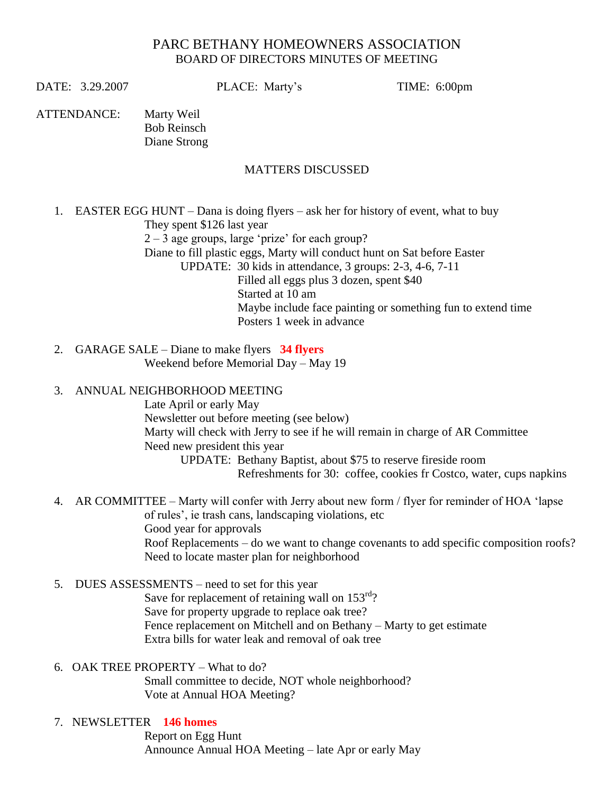## PARC BETHANY HOMEOWNERS ASSOCIATION BOARD OF DIRECTORS MINUTES OF MEETING

DATE: 3.29.2007 PLACE: Marty's TIME: 6:00pm

ATTENDANCE: Marty Weil Bob Reinsch Diane Strong

## MATTERS DISCUSSED

1. EASTER EGG HUNT – Dana is doing flyers – ask her for history of event, what to buy They spent \$126 last year  $2 - 3$  age groups, large 'prize' for each group? Diane to fill plastic eggs, Marty will conduct hunt on Sat before Easter UPDATE: 30 kids in attendance, 3 groups: 2-3, 4-6, 7-11 Filled all eggs plus 3 dozen, spent \$40 Started at 10 am Maybe include face painting or something fun to extend time Posters 1 week in advance

 2. GARAGE SALE – Diane to make flyers **34 flyers** Weekend before Memorial Day – May 19

## 3. ANNUAL NEIGHBORHOOD MEETING

Late April or early May Newsletter out before meeting (see below) Marty will check with Jerry to see if he will remain in charge of AR Committee Need new president this year

UPDATE: Bethany Baptist, about \$75 to reserve fireside room Refreshments for 30: coffee, cookies fr Costco, water, cups napkins

- 4. AR COMMITTEE Marty will confer with Jerry about new form / flyer for reminder of HOA 'lapse of rules', ie trash cans, landscaping violations, etc Good year for approvals Roof Replacements – do we want to change covenants to add specific composition roofs? Need to locate master plan for neighborhood
- 5. DUES ASSESSMENTS need to set for this year

Save for replacement of retaining wall on  $153<sup>rd</sup>$ ? Save for property upgrade to replace oak tree? Fence replacement on Mitchell and on Bethany – Marty to get estimate Extra bills for water leak and removal of oak tree

6. OAK TREE PROPERTY – What to do?

Small committee to decide, NOT whole neighborhood? Vote at Annual HOA Meeting?

7. NEWSLETTER **146 homes**

Report on Egg Hunt Announce Annual HOA Meeting – late Apr or early May